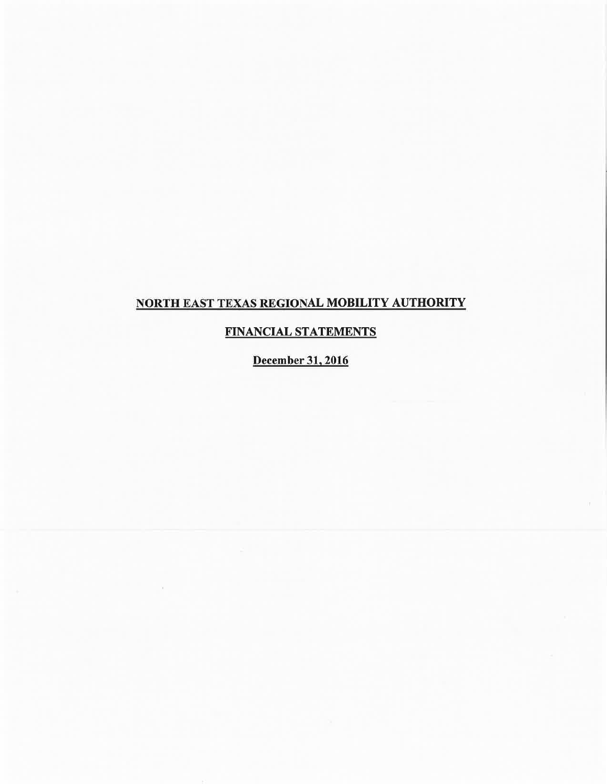# NORTH EAST TEXAS REGIONAL MOBILITY AUTHORITY

# FINANCIAL STATEMENTS

December 31.2016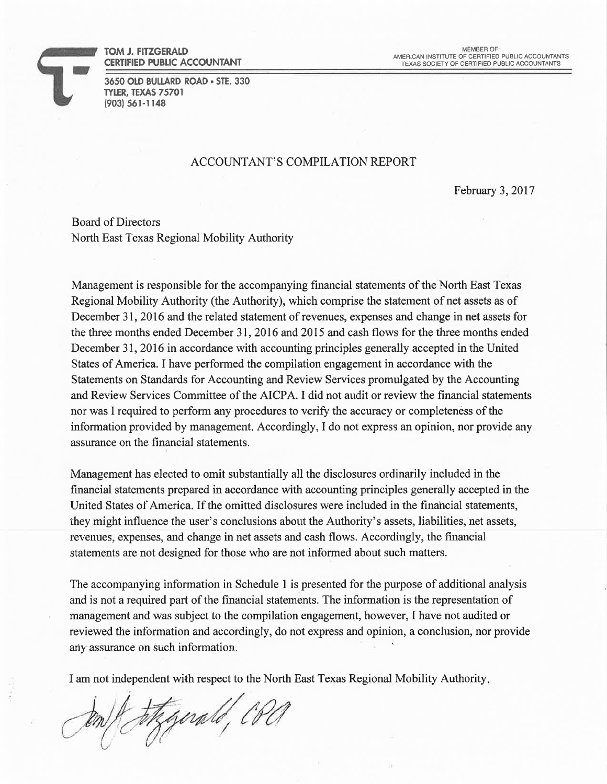

TOM J. FITZGERALD CERTIFIED PUBIIC ACCOUNTANT

3650 OLD BULLARD ROAD . STE. 330 **TYLER, TEXAS 75701** (903) 561-1148

### ACCOUNTANT'S COMPILATION REPORT

February 3, 2017

Board of Directors North East Texas Regional Mobility Authority

Management is responsible for the accompanying financial statements of the North Ëast Texas Regional Mobility Authority (the Authority), which comprise the statement of net assets as of December 31,2016 and the related statement of revenues, expenses and change in net assets for the three months ended December 31, 2016 and 2015 and cash flows for the three months ended December 31, 2016 in accordance with accounting principles generally accepted in the United States of America. I have performed the compilation engagement in accordance with the Statements on Standards for Accounting and Review Services promulgated by the Accounting and Review Services Committee of the AICPA. I did not audit or review the financial statements nor was I required to perform any procedures to verify the accuracy or completeness of the information provided by management. Accordingly, I do not express an opinion, nor provide any assurance on the financial statements.

Management has elected to omit substantially all the disclosures ordinarily included in the financial statements prepared in accordance with accounting principles generally accepted in the United States of America. If the omitted disclosures were included in the financial statements, they might influence the user's conclusions about the Authority's assets, liabilities, net assets, revenues, expenses, and change in net assets and cash flows. Accordingly, the financial statements are not designed for those who are not informed about such matters.

The accompanying information in Schedule I is presented for the purpose of additional analysis and is not a required part of the financial statements. The information is the representation of management and was subject to the compilation engagement, however, I have not audited or reviewed the information and accordingly, do not express and opinion, a conclusion, nor provide any assurance on such information.

I am not independent with respect to the North East Texas Regional Mobility Authority

gerald, Co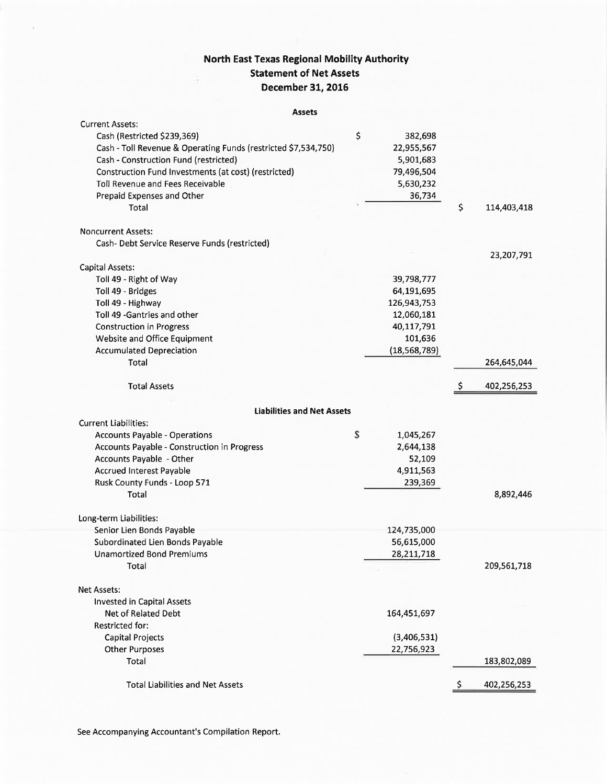## North East Texas Regional Mobility Authority Statement of Net Assets December 31, 2016

#### Assets

| \$<br>382,698<br>Cash (Restricted \$239,369)<br>Cash - Toll Revenue & Operating Funds (restricted \$7,534,750)<br>22,955,567<br>Cash - Construction Fund (restricted)<br>5,901,683<br>Construction Fund Investments (at cost) (restricted)<br>79,496,504<br>Toll Revenue and Fees Receivable<br>5,630,232<br>Prepaid Expenses and Other<br>36,734<br>\$<br>Total<br>114,403,418<br><b>Noncurrent Assets:</b><br>Cash- Debt Service Reserve Funds (restricted)<br>23,207,791<br>Capital Assets:<br>Toll 49 - Right of Way<br>39,798,777<br>Toll 49 - Bridges<br>64,191,695<br>126,943,753<br>Toll 49 - Highway<br>Toll 49 - Gantries and other<br>12,060,181<br>40,117,791<br><b>Construction in Progress</b><br>Website and Office Equipment<br>101,636<br>(18, 568, 789)<br><b>Accumulated Depreciation</b><br><b>Total</b><br>264,645,044<br>\$<br>402,256,253<br><b>Total Assets</b><br><b>Liabilities and Net Assets</b><br><b>Current Liabilities:</b><br>\$<br><b>Accounts Payable - Operations</b><br>1,045,267<br>Accounts Payable - Construction in Progress<br>2,644,138<br>Accounts Payable - Other<br>52,109<br><b>Accrued Interest Payable</b><br>4,911,563<br>Rusk County Funds - Loop 571<br>239,369<br>8,892,446<br>Total<br>Senior Lien Bonds Payable<br>124,735,000<br>Subordinated Lien Bonds Payable<br>56,615,000<br><b>Unamortized Bond Premiums</b><br>28,211,718<br>Total<br>209,561,718<br><b>Invested in Capital Assets</b><br>Net of Related Debt<br>164,451,697<br><b>Restricted for:</b><br>(3,406,531)<br><b>Capital Projects</b><br><b>Other Purposes</b><br>22,756,923<br>Total<br>183,802,089<br><b>Total Liabilities and Net Assets</b><br>\$<br>402,256,253 | <b>Current Assets:</b> |  |  |
|------------------------------------------------------------------------------------------------------------------------------------------------------------------------------------------------------------------------------------------------------------------------------------------------------------------------------------------------------------------------------------------------------------------------------------------------------------------------------------------------------------------------------------------------------------------------------------------------------------------------------------------------------------------------------------------------------------------------------------------------------------------------------------------------------------------------------------------------------------------------------------------------------------------------------------------------------------------------------------------------------------------------------------------------------------------------------------------------------------------------------------------------------------------------------------------------------------------------------------------------------------------------------------------------------------------------------------------------------------------------------------------------------------------------------------------------------------------------------------------------------------------------------------------------------------------------------------------------------------------------------------------------------------------------------------------------|------------------------|--|--|
|                                                                                                                                                                                                                                                                                                                                                                                                                                                                                                                                                                                                                                                                                                                                                                                                                                                                                                                                                                                                                                                                                                                                                                                                                                                                                                                                                                                                                                                                                                                                                                                                                                                                                                |                        |  |  |
|                                                                                                                                                                                                                                                                                                                                                                                                                                                                                                                                                                                                                                                                                                                                                                                                                                                                                                                                                                                                                                                                                                                                                                                                                                                                                                                                                                                                                                                                                                                                                                                                                                                                                                |                        |  |  |
|                                                                                                                                                                                                                                                                                                                                                                                                                                                                                                                                                                                                                                                                                                                                                                                                                                                                                                                                                                                                                                                                                                                                                                                                                                                                                                                                                                                                                                                                                                                                                                                                                                                                                                |                        |  |  |
|                                                                                                                                                                                                                                                                                                                                                                                                                                                                                                                                                                                                                                                                                                                                                                                                                                                                                                                                                                                                                                                                                                                                                                                                                                                                                                                                                                                                                                                                                                                                                                                                                                                                                                |                        |  |  |
|                                                                                                                                                                                                                                                                                                                                                                                                                                                                                                                                                                                                                                                                                                                                                                                                                                                                                                                                                                                                                                                                                                                                                                                                                                                                                                                                                                                                                                                                                                                                                                                                                                                                                                |                        |  |  |
|                                                                                                                                                                                                                                                                                                                                                                                                                                                                                                                                                                                                                                                                                                                                                                                                                                                                                                                                                                                                                                                                                                                                                                                                                                                                                                                                                                                                                                                                                                                                                                                                                                                                                                |                        |  |  |
|                                                                                                                                                                                                                                                                                                                                                                                                                                                                                                                                                                                                                                                                                                                                                                                                                                                                                                                                                                                                                                                                                                                                                                                                                                                                                                                                                                                                                                                                                                                                                                                                                                                                                                |                        |  |  |
|                                                                                                                                                                                                                                                                                                                                                                                                                                                                                                                                                                                                                                                                                                                                                                                                                                                                                                                                                                                                                                                                                                                                                                                                                                                                                                                                                                                                                                                                                                                                                                                                                                                                                                |                        |  |  |
|                                                                                                                                                                                                                                                                                                                                                                                                                                                                                                                                                                                                                                                                                                                                                                                                                                                                                                                                                                                                                                                                                                                                                                                                                                                                                                                                                                                                                                                                                                                                                                                                                                                                                                |                        |  |  |
|                                                                                                                                                                                                                                                                                                                                                                                                                                                                                                                                                                                                                                                                                                                                                                                                                                                                                                                                                                                                                                                                                                                                                                                                                                                                                                                                                                                                                                                                                                                                                                                                                                                                                                |                        |  |  |
|                                                                                                                                                                                                                                                                                                                                                                                                                                                                                                                                                                                                                                                                                                                                                                                                                                                                                                                                                                                                                                                                                                                                                                                                                                                                                                                                                                                                                                                                                                                                                                                                                                                                                                |                        |  |  |
|                                                                                                                                                                                                                                                                                                                                                                                                                                                                                                                                                                                                                                                                                                                                                                                                                                                                                                                                                                                                                                                                                                                                                                                                                                                                                                                                                                                                                                                                                                                                                                                                                                                                                                |                        |  |  |
|                                                                                                                                                                                                                                                                                                                                                                                                                                                                                                                                                                                                                                                                                                                                                                                                                                                                                                                                                                                                                                                                                                                                                                                                                                                                                                                                                                                                                                                                                                                                                                                                                                                                                                |                        |  |  |
|                                                                                                                                                                                                                                                                                                                                                                                                                                                                                                                                                                                                                                                                                                                                                                                                                                                                                                                                                                                                                                                                                                                                                                                                                                                                                                                                                                                                                                                                                                                                                                                                                                                                                                |                        |  |  |
|                                                                                                                                                                                                                                                                                                                                                                                                                                                                                                                                                                                                                                                                                                                                                                                                                                                                                                                                                                                                                                                                                                                                                                                                                                                                                                                                                                                                                                                                                                                                                                                                                                                                                                |                        |  |  |
|                                                                                                                                                                                                                                                                                                                                                                                                                                                                                                                                                                                                                                                                                                                                                                                                                                                                                                                                                                                                                                                                                                                                                                                                                                                                                                                                                                                                                                                                                                                                                                                                                                                                                                |                        |  |  |
|                                                                                                                                                                                                                                                                                                                                                                                                                                                                                                                                                                                                                                                                                                                                                                                                                                                                                                                                                                                                                                                                                                                                                                                                                                                                                                                                                                                                                                                                                                                                                                                                                                                                                                |                        |  |  |
|                                                                                                                                                                                                                                                                                                                                                                                                                                                                                                                                                                                                                                                                                                                                                                                                                                                                                                                                                                                                                                                                                                                                                                                                                                                                                                                                                                                                                                                                                                                                                                                                                                                                                                |                        |  |  |
|                                                                                                                                                                                                                                                                                                                                                                                                                                                                                                                                                                                                                                                                                                                                                                                                                                                                                                                                                                                                                                                                                                                                                                                                                                                                                                                                                                                                                                                                                                                                                                                                                                                                                                |                        |  |  |
|                                                                                                                                                                                                                                                                                                                                                                                                                                                                                                                                                                                                                                                                                                                                                                                                                                                                                                                                                                                                                                                                                                                                                                                                                                                                                                                                                                                                                                                                                                                                                                                                                                                                                                |                        |  |  |
|                                                                                                                                                                                                                                                                                                                                                                                                                                                                                                                                                                                                                                                                                                                                                                                                                                                                                                                                                                                                                                                                                                                                                                                                                                                                                                                                                                                                                                                                                                                                                                                                                                                                                                |                        |  |  |
|                                                                                                                                                                                                                                                                                                                                                                                                                                                                                                                                                                                                                                                                                                                                                                                                                                                                                                                                                                                                                                                                                                                                                                                                                                                                                                                                                                                                                                                                                                                                                                                                                                                                                                |                        |  |  |
|                                                                                                                                                                                                                                                                                                                                                                                                                                                                                                                                                                                                                                                                                                                                                                                                                                                                                                                                                                                                                                                                                                                                                                                                                                                                                                                                                                                                                                                                                                                                                                                                                                                                                                |                        |  |  |
|                                                                                                                                                                                                                                                                                                                                                                                                                                                                                                                                                                                                                                                                                                                                                                                                                                                                                                                                                                                                                                                                                                                                                                                                                                                                                                                                                                                                                                                                                                                                                                                                                                                                                                |                        |  |  |
|                                                                                                                                                                                                                                                                                                                                                                                                                                                                                                                                                                                                                                                                                                                                                                                                                                                                                                                                                                                                                                                                                                                                                                                                                                                                                                                                                                                                                                                                                                                                                                                                                                                                                                |                        |  |  |
|                                                                                                                                                                                                                                                                                                                                                                                                                                                                                                                                                                                                                                                                                                                                                                                                                                                                                                                                                                                                                                                                                                                                                                                                                                                                                                                                                                                                                                                                                                                                                                                                                                                                                                |                        |  |  |
|                                                                                                                                                                                                                                                                                                                                                                                                                                                                                                                                                                                                                                                                                                                                                                                                                                                                                                                                                                                                                                                                                                                                                                                                                                                                                                                                                                                                                                                                                                                                                                                                                                                                                                |                        |  |  |
|                                                                                                                                                                                                                                                                                                                                                                                                                                                                                                                                                                                                                                                                                                                                                                                                                                                                                                                                                                                                                                                                                                                                                                                                                                                                                                                                                                                                                                                                                                                                                                                                                                                                                                |                        |  |  |
|                                                                                                                                                                                                                                                                                                                                                                                                                                                                                                                                                                                                                                                                                                                                                                                                                                                                                                                                                                                                                                                                                                                                                                                                                                                                                                                                                                                                                                                                                                                                                                                                                                                                                                |                        |  |  |
|                                                                                                                                                                                                                                                                                                                                                                                                                                                                                                                                                                                                                                                                                                                                                                                                                                                                                                                                                                                                                                                                                                                                                                                                                                                                                                                                                                                                                                                                                                                                                                                                                                                                                                | Long-term Liabilities: |  |  |
|                                                                                                                                                                                                                                                                                                                                                                                                                                                                                                                                                                                                                                                                                                                                                                                                                                                                                                                                                                                                                                                                                                                                                                                                                                                                                                                                                                                                                                                                                                                                                                                                                                                                                                |                        |  |  |
|                                                                                                                                                                                                                                                                                                                                                                                                                                                                                                                                                                                                                                                                                                                                                                                                                                                                                                                                                                                                                                                                                                                                                                                                                                                                                                                                                                                                                                                                                                                                                                                                                                                                                                |                        |  |  |
|                                                                                                                                                                                                                                                                                                                                                                                                                                                                                                                                                                                                                                                                                                                                                                                                                                                                                                                                                                                                                                                                                                                                                                                                                                                                                                                                                                                                                                                                                                                                                                                                                                                                                                |                        |  |  |
|                                                                                                                                                                                                                                                                                                                                                                                                                                                                                                                                                                                                                                                                                                                                                                                                                                                                                                                                                                                                                                                                                                                                                                                                                                                                                                                                                                                                                                                                                                                                                                                                                                                                                                |                        |  |  |
|                                                                                                                                                                                                                                                                                                                                                                                                                                                                                                                                                                                                                                                                                                                                                                                                                                                                                                                                                                                                                                                                                                                                                                                                                                                                                                                                                                                                                                                                                                                                                                                                                                                                                                | <b>Net Assets:</b>     |  |  |
|                                                                                                                                                                                                                                                                                                                                                                                                                                                                                                                                                                                                                                                                                                                                                                                                                                                                                                                                                                                                                                                                                                                                                                                                                                                                                                                                                                                                                                                                                                                                                                                                                                                                                                |                        |  |  |
|                                                                                                                                                                                                                                                                                                                                                                                                                                                                                                                                                                                                                                                                                                                                                                                                                                                                                                                                                                                                                                                                                                                                                                                                                                                                                                                                                                                                                                                                                                                                                                                                                                                                                                |                        |  |  |
|                                                                                                                                                                                                                                                                                                                                                                                                                                                                                                                                                                                                                                                                                                                                                                                                                                                                                                                                                                                                                                                                                                                                                                                                                                                                                                                                                                                                                                                                                                                                                                                                                                                                                                |                        |  |  |
|                                                                                                                                                                                                                                                                                                                                                                                                                                                                                                                                                                                                                                                                                                                                                                                                                                                                                                                                                                                                                                                                                                                                                                                                                                                                                                                                                                                                                                                                                                                                                                                                                                                                                                |                        |  |  |
|                                                                                                                                                                                                                                                                                                                                                                                                                                                                                                                                                                                                                                                                                                                                                                                                                                                                                                                                                                                                                                                                                                                                                                                                                                                                                                                                                                                                                                                                                                                                                                                                                                                                                                |                        |  |  |
|                                                                                                                                                                                                                                                                                                                                                                                                                                                                                                                                                                                                                                                                                                                                                                                                                                                                                                                                                                                                                                                                                                                                                                                                                                                                                                                                                                                                                                                                                                                                                                                                                                                                                                |                        |  |  |
|                                                                                                                                                                                                                                                                                                                                                                                                                                                                                                                                                                                                                                                                                                                                                                                                                                                                                                                                                                                                                                                                                                                                                                                                                                                                                                                                                                                                                                                                                                                                                                                                                                                                                                |                        |  |  |

See Accompanying Accountant's Compilation Report.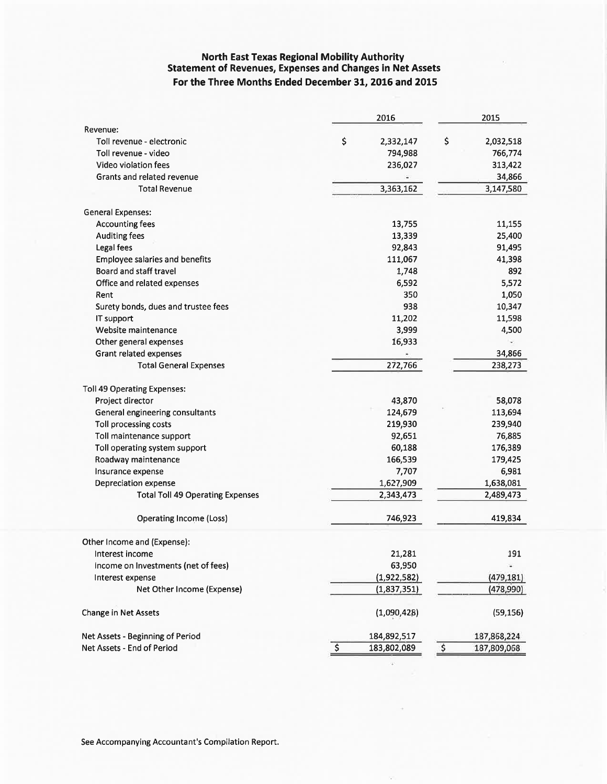### North East Texas Regional Mobility Authority Statement of Revenues, Expenses and Changes in Net Assets For the Three Months Ended December 31, 2016 and 2015

|                                         | 2016              | 2015              |  |
|-----------------------------------------|-------------------|-------------------|--|
| Revenue:                                |                   |                   |  |
| Toll revenue - electronic               | \$<br>2,332,147   | \$<br>2,032,518   |  |
| Toll revenue - video                    | 794,988           | 766,774           |  |
| Video violation fees                    | 236,027           | 313,422           |  |
| Grants and related revenue              |                   | 34,866            |  |
| <b>Total Revenue</b>                    | 3,363,162         | 3,147,580         |  |
|                                         |                   |                   |  |
| <b>General Expenses:</b>                |                   |                   |  |
| <b>Accounting fees</b>                  | 13,755            | 11,155            |  |
| <b>Auditing fees</b>                    | 13,339            | 25,400            |  |
| Legal fees                              | 92,843            | 91,495            |  |
| <b>Employee salaries and benefits</b>   | 111,067           | 41,398            |  |
| Board and staff travel                  | 1,748             | 892               |  |
| Office and related expenses             | 6,592             | 5,572             |  |
| Rent                                    | 350               | 1,050             |  |
| Surety bonds, dues and trustee fees     | 938               | 10,347            |  |
| IT support                              | 11,202            | 11,598            |  |
| Website maintenance                     | 3,999             | 4,500             |  |
| Other general expenses                  | 16,933            |                   |  |
| <b>Grant related expenses</b>           |                   | 34,866            |  |
| <b>Total General Expenses</b>           | 272,766           | 238,273           |  |
|                                         |                   |                   |  |
| <b>Toll 49 Operating Expenses:</b>      |                   |                   |  |
| Project director                        | 43,870            | 58,078            |  |
| General engineering consultants         | 124,679           | 113,694           |  |
| Toll processing costs                   | 219,930           | 239,940           |  |
| Toll maintenance support                | 92,651            | 76,885            |  |
| Toll operating system support           | 60,188            | 176,389           |  |
| Roadway maintenance                     | 166,539           | 179,425           |  |
| Insurance expense                       | 7,707             | 6,981             |  |
| Depreciation expense                    | 1,627,909         | 1,638,081         |  |
| <b>Total Toll 49 Operating Expenses</b> | 2,343,473         | 2,489,473         |  |
|                                         |                   |                   |  |
| Operating Income (Loss)                 | 746,923           | 419,834           |  |
| Other Income and (Expense):             |                   |                   |  |
| Interest income                         | 21,281            | 191               |  |
| income on Investments (net of fees)     | 63,950            |                   |  |
| Interest expense                        | (1,922,582)       | (479, 181)        |  |
| Net Other Income (Expense)              | (1,837,351)       | (478,990)         |  |
|                                         |                   |                   |  |
| <b>Change in Net Assets</b>             | (1,090,428)       | (59, 156)         |  |
| Net Assets - Beginning of Period        | 184,892,517       | 187,868,224       |  |
| Net Assets - End of Period              | \$<br>183,802,089 | \$<br>187,809,068 |  |
|                                         |                   |                   |  |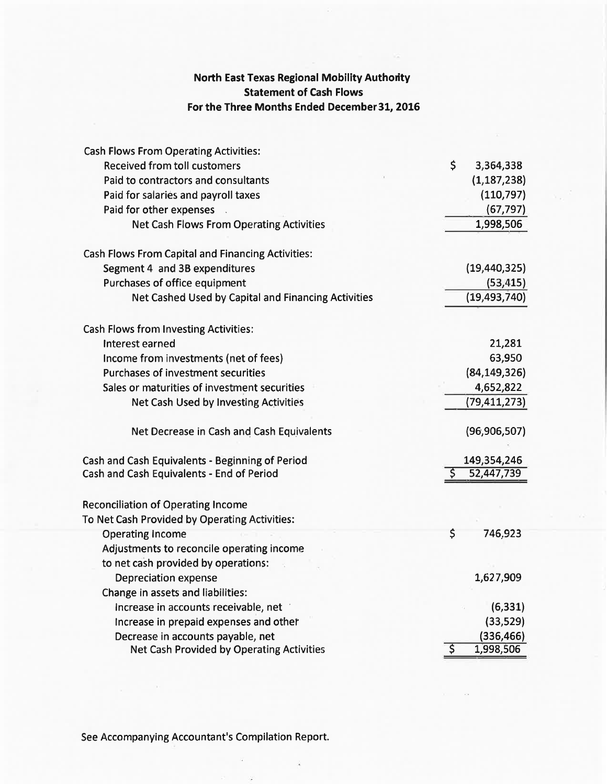# North East Texas Regional Mobility Authority Statement of Cash Flows For the Three Months Ended December 31, 2016

| <b>Cash Flows From Operating Activities:</b>             |                         |
|----------------------------------------------------------|-------------------------|
| <b>Received from toll customers</b>                      | \$<br>3,364,338         |
| Paid to contractors and consultants                      | (1, 187, 238)           |
| Paid for salaries and payroll taxes                      | (110, 797)              |
| Paid for other expenses                                  | (67, 797)               |
| <b>Net Cash Flows From Operating Activities</b>          | 1,998,506               |
| <b>Cash Flows From Capital and Financing Activities:</b> |                         |
| Segment 4 and 3B expenditures                            | (19, 440, 325)          |
| Purchases of office equipment                            | (53, 415)               |
| Net Cashed Used by Capital and Financing Activities      | (19, 493, 740)          |
| <b>Cash Flows from Investing Activities:</b>             |                         |
| Interest earned                                          | 21,281                  |
| Income from investments (net of fees)                    | 63,950                  |
| <b>Purchases of investment securities</b>                | (84, 149, 326)          |
| Sales or maturities of investment securities             | 4,652,822               |
| Net Cash Used by Investing Activities                    | (79, 411, 273)          |
| Net Decrease in Cash and Cash Equivalents                | (96, 906, 507)          |
| Cash and Cash Equivalents - Beginning of Period          | 149,354,246             |
| Cash and Cash Equivalents - End of Period                | 52,447,739<br>\$        |
| <b>Reconciliation of Operating Income</b>                |                         |
| To Net Cash Provided by Operating Activities:            |                         |
| <b>Operating Income</b>                                  | $\mathsf{S}$<br>746,923 |
| Adjustments to reconcile operating income                |                         |
| to net cash provided by operations:                      |                         |
| <b>Depreciation expense</b>                              | 1,627,909               |
| Change in assets and liabilities:                        |                         |
| Increase in accounts receivable, net                     | (6, 331)                |
| Increase in prepaid expenses and other                   | (33, 529)               |
| Decrease in accounts payable, net                        | (336, 466)              |
| Net Cash Provided by Operating Activities                | ड़<br>1,998,506         |

See Accompanying Accountant's Compilation Report.

W.

ΩŚ,

 $\tilde{\mathbf{a}}_i$